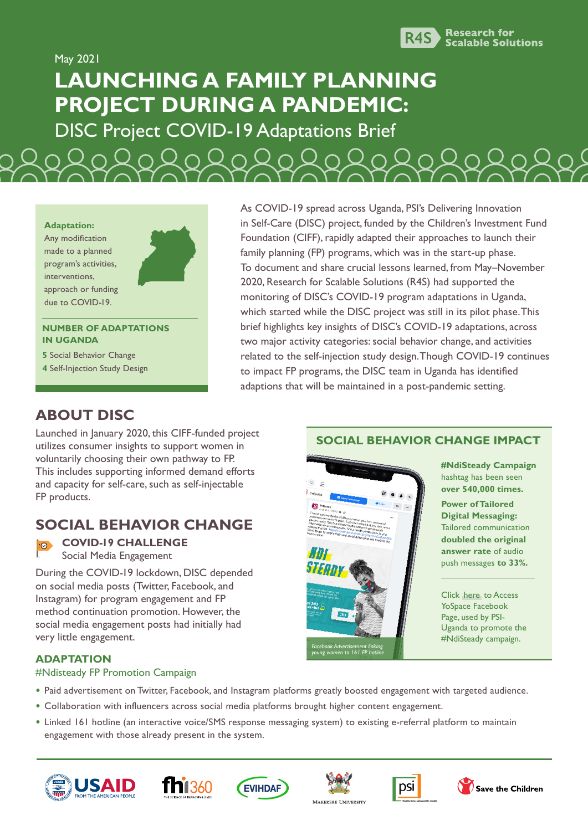

May 2021

# **LAUNCHING A FAMILY PLANNING PROJECT DURING A PANDEMIC:**

DISC Project COVID-19 Adaptations Brief

**Adaptation:** Any modification made to a planned program's activities, interventions, approach or funding due to COVID-19.

#### **NUMBER OF ADAPTATIONS IN UGANDA**

**5** Social Behavior Change

**4** Self-Injection Study Design

As COVID-19 spread across Uganda, PSI's Delivering Innovation in Self-Care (DISC) project, funded by the Children's Investment Fund Foundation (CIFF), rapidly adapted their approaches to launch their family planning (FP) programs, which was in the start-up phase. To document and share crucial lessons learned, from May–November 2020, Research for Scalable Solutions (R4S) had supported the monitoring of DISC's COVID-19 program adaptations in Uganda, which started while the DISC project was still in its pilot phase. This brief highlights key insights of DISC's COVID-19 adaptations, across two major activity categories: social behavior change, and activities related to the self-injection study design. Though COVID-19 continues to impact FP programs, the DISC team in Uganda has identified adaptions that will be maintained in a post-pandemic setting.

## **ABOUT DISC**

Launched in January 2020, this CIFF-funded project utilizes consumer insights to support women in voluntarily choosing their own pathway to FP. This includes supporting informed demand efforts and capacity for self-care, such as self-injectable FP products.

## **SOCIAL BEHAVIOR CHANGE**

#### **COVID-19 CHALLENGE**  $| \odot |$ Social Media Engagement

During the COVID-19 lockdown, DISC depended on social media posts (Twitter, Facebook, and Instagram) for program engagement and FP method continuation promotion. However, the social media engagement posts had initially had very little engagement.

# **ADAPTATION**

#### #Ndisteady FP Promotion Campaign

- **•** Paid advertisement on Twitter, Facebook, and Instagram platforms greatly boosted engagement with targeted audience.
- **•** Collaboration with influencers across social media platforms brought higher content engagement.
- **•** Linked 161 hotline (an interactive voice/SMS response messaging system) to existing e-referral platform to maintain engagement with those already present in the system.













Save the Children

## **SOCIAL BEHAVIOR CHANGE IMPACT**



**#NdiSteady Campaign** hashtag has been seen **over 540,000 times.** 

**Power of Tailored Digital Messaging:** Tailored communication **doubled the original answer rate** of audio push messages **to 33%.**

Click [here](https://www.facebook.com/yospaceug/) to Access YoSpace Facebook Page, used by PSI-Uganda to promote the #NdiSteady campaign.